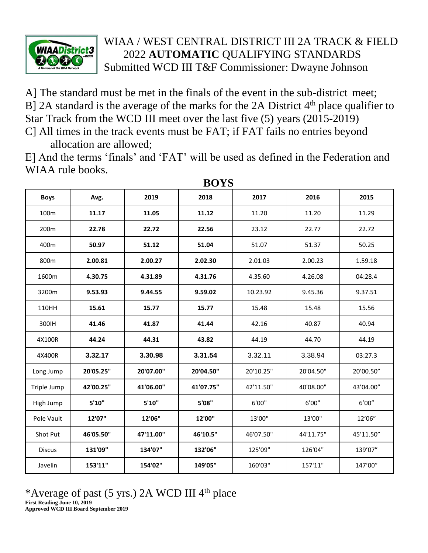

## WIAA / WEST CENTRAL DISTRICT III 2A TRACK & FIELD 2022 **AUTOMATIC** QUALIFYING STANDARDS Submitted WCD III T&F Commissioner: Dwayne Johnson

A] The standard must be met in the finals of the event in the sub-district meet; B] 2A standard is the average of the marks for the 2A District  $4<sup>th</sup>$  place qualifier to Star Track from the WCD III meet over the last five (5) years (2015-2019)

C] All times in the track events must be FAT; if FAT fails no entries beyond allocation are allowed;

E] And the terms 'finals' and 'FAT' will be used as defined in the Federation and WIAA rule books.

| <b>DUI</b> D  |           |           |           |           |           |           |  |  |  |  |
|---------------|-----------|-----------|-----------|-----------|-----------|-----------|--|--|--|--|
| <b>Boys</b>   | Avg.      | 2019      | 2018      | 2017      | 2016      | 2015      |  |  |  |  |
| 100m          | 11.17     | 11.05     | 11.12     | 11.20     | 11.20     | 11.29     |  |  |  |  |
| 200m          | 22.78     | 22.72     | 22.56     | 23.12     | 22.77     | 22.72     |  |  |  |  |
| 400m          | 50.97     | 51.12     | 51.04     | 51.07     | 51.37     | 50.25     |  |  |  |  |
| 800m          | 2.00.81   | 2.00.27   | 2.02.30   | 2.01.03   | 2.00.23   | 1.59.18   |  |  |  |  |
| 1600m         | 4.30.75   | 4.31.89   | 4.31.76   | 4.35.60   | 4.26.08   | 04:28.4   |  |  |  |  |
| 3200m         | 9.53.93   | 9.44.55   | 9.59.02   | 10.23.92  | 9.45.36   | 9.37.51   |  |  |  |  |
| 110HH         | 15.61     | 15.77     | 15.77     | 15.48     | 15.48     | 15.56     |  |  |  |  |
| 300IH         | 41.46     | 41.87     | 41.44     | 42.16     | 40.87     | 40.94     |  |  |  |  |
| 4X100R        | 44.24     | 44.31     | 43.82     | 44.19     | 44.70     | 44.19     |  |  |  |  |
| 4X400R        | 3.32.17   | 3.30.98   | 3.31.54   | 3.32.11   | 3.38.94   | 03:27.3   |  |  |  |  |
| Long Jump     | 20'05.25" | 20'07.00" | 20'04.50" | 20'10.25" | 20'04.50" | 20'00.50" |  |  |  |  |
| Triple Jump   | 42'00.25" | 41'06.00" | 41'07.75" | 42'11.50" | 40'08.00" | 43'04.00" |  |  |  |  |
| High Jump     | 5'10''    | 5'10"     | 5'08"     | 6'00"     | 6'00"     | 6'00''    |  |  |  |  |
| Pole Vault    | 12'07"    | 12'06"    | 12'00"    | 13'00"    | 13'00"    | 12'06"    |  |  |  |  |
| Shot Put      | 46'05.50" | 47'11.00" | 46'10.5"  | 46'07.50" | 44'11.75" | 45'11.50" |  |  |  |  |
| <b>Discus</b> | 131'09"   | 134'07"   | 132'06"   | 125'09"   | 126'04"   | 139'07"   |  |  |  |  |
| Javelin       | 153'11"   | 154'02"   | 149'05"   | 160'03"   | 157'11"   | 147'00"   |  |  |  |  |

**BOYS**

## \*Average of past (5 yrs.) 2A WCD III 4<sup>th</sup> place **First Reading June 10, 2019 Approved WCD III Board September 2019**